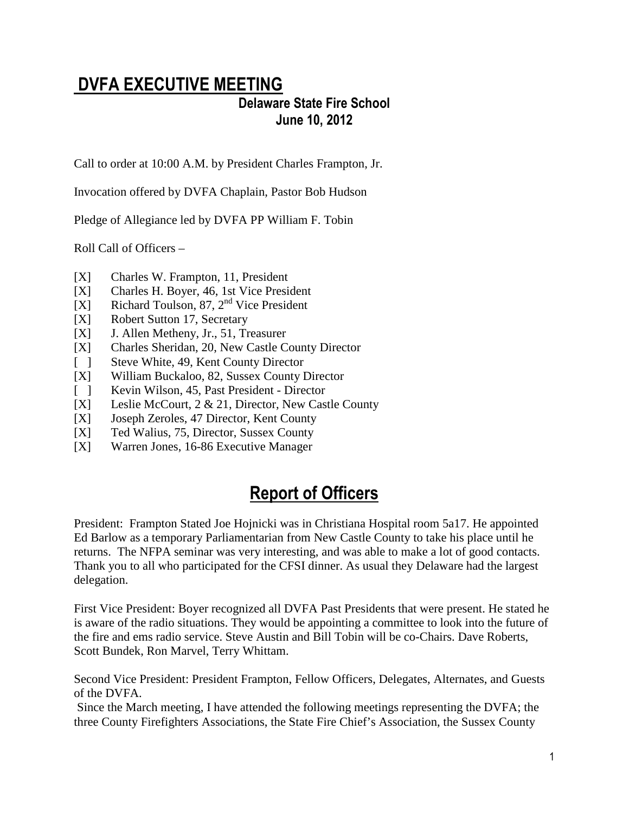# DVFA EXECUTIVE MEETING

### Delaware State Fire School June 10, 2012

Call to order at 10:00 A.M. by President Charles Frampton, Jr.

Invocation offered by DVFA Chaplain, Pastor Bob Hudson

Pledge of Allegiance led by DVFA PP William F. Tobin

Roll Call of Officers –

- [X] Charles W. Frampton, 11, President
- [X] Charles H. Boyer, 46, 1st Vice President
- [X] Richard Toulson,  $87, 2<sup>nd</sup>$  Vice President
- [X] Robert Sutton 17, Secretary
- [X] J. Allen Metheny, Jr., 51, Treasurer
- [X] Charles Sheridan, 20, New Castle County Director
- [ ] Steve White, 49, Kent County Director
- [X] William Buckaloo, 82, Sussex County Director
- [ ] Kevin Wilson, 45, Past President Director
- [X] Leslie McCourt, 2 & 21, Director, New Castle County
- [X] Joseph Zeroles, 47 Director, Kent County
- [X] Ted Walius, 75, Director, Sussex County
- [X] Warren Jones, 16-86 Executive Manager

## Report of Officers

President: Frampton Stated Joe Hojnicki was in Christiana Hospital room 5a17. He appointed Ed Barlow as a temporary Parliamentarian from New Castle County to take his place until he returns. The NFPA seminar was very interesting, and was able to make a lot of good contacts. Thank you to all who participated for the CFSI dinner. As usual they Delaware had the largest delegation.

First Vice President: Boyer recognized all DVFA Past Presidents that were present. He stated he is aware of the radio situations. They would be appointing a committee to look into the future of the fire and ems radio service. Steve Austin and Bill Tobin will be co-Chairs. Dave Roberts, Scott Bundek, Ron Marvel, Terry Whittam.

Second Vice President: President Frampton, Fellow Officers, Delegates, Alternates, and Guests of the DVFA.

 Since the March meeting, I have attended the following meetings representing the DVFA; the three County Firefighters Associations, the State Fire Chief's Association, the Sussex County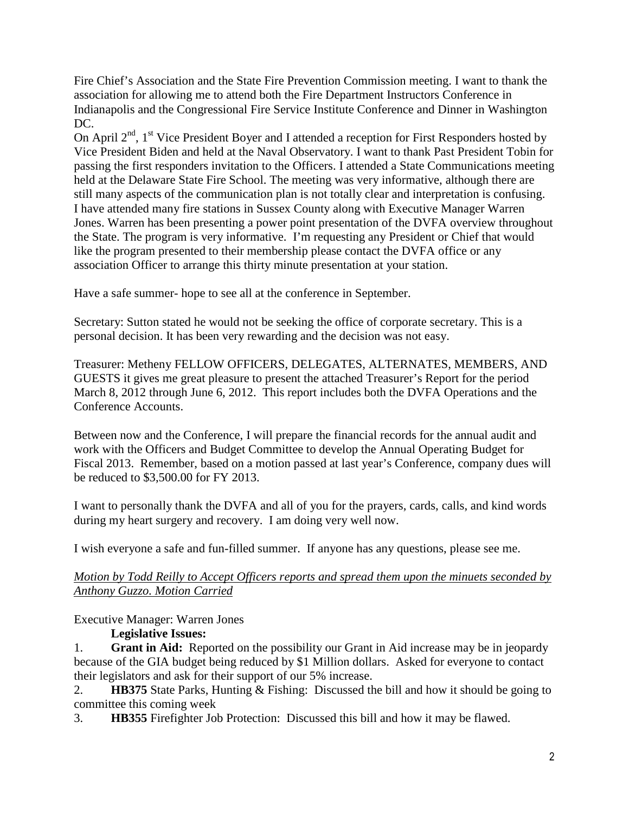Fire Chief's Association and the State Fire Prevention Commission meeting. I want to thank the association for allowing me to attend both the Fire Department Instructors Conference in Indianapolis and the Congressional Fire Service Institute Conference and Dinner in Washington DC.

On April  $2<sup>nd</sup>$ , 1<sup>st</sup> Vice President Boyer and I attended a reception for First Responders hosted by Vice President Biden and held at the Naval Observatory. I want to thank Past President Tobin for passing the first responders invitation to the Officers. I attended a State Communications meeting held at the Delaware State Fire School. The meeting was very informative, although there are still many aspects of the communication plan is not totally clear and interpretation is confusing. I have attended many fire stations in Sussex County along with Executive Manager Warren Jones. Warren has been presenting a power point presentation of the DVFA overview throughout the State. The program is very informative. I'm requesting any President or Chief that would like the program presented to their membership please contact the DVFA office or any association Officer to arrange this thirty minute presentation at your station.

Have a safe summer- hope to see all at the conference in September.

Secretary: Sutton stated he would not be seeking the office of corporate secretary. This is a personal decision. It has been very rewarding and the decision was not easy.

Treasurer: Metheny FELLOW OFFICERS, DELEGATES, ALTERNATES, MEMBERS, AND GUESTS it gives me great pleasure to present the attached Treasurer's Report for the period March 8, 2012 through June 6, 2012. This report includes both the DVFA Operations and the Conference Accounts.

Between now and the Conference, I will prepare the financial records for the annual audit and work with the Officers and Budget Committee to develop the Annual Operating Budget for Fiscal 2013. Remember, based on a motion passed at last year's Conference, company dues will be reduced to \$3,500.00 for FY 2013.

I want to personally thank the DVFA and all of you for the prayers, cards, calls, and kind words during my heart surgery and recovery. I am doing very well now.

I wish everyone a safe and fun-filled summer. If anyone has any questions, please see me.

#### *Motion by Todd Reilly to Accept Officers reports and spread them upon the minuets seconded by Anthony Guzzo. Motion Carried*

#### Executive Manager: Warren Jones

#### **Legislative Issues:**

1. **Grant in Aid:** Reported on the possibility our Grant in Aid increase may be in jeopardy because of the GIA budget being reduced by \$1 Million dollars. Asked for everyone to contact their legislators and ask for their support of our 5% increase.

2. **HB375** State Parks, Hunting & Fishing: Discussed the bill and how it should be going to committee this coming week

3. **HB355** Firefighter Job Protection: Discussed this bill and how it may be flawed.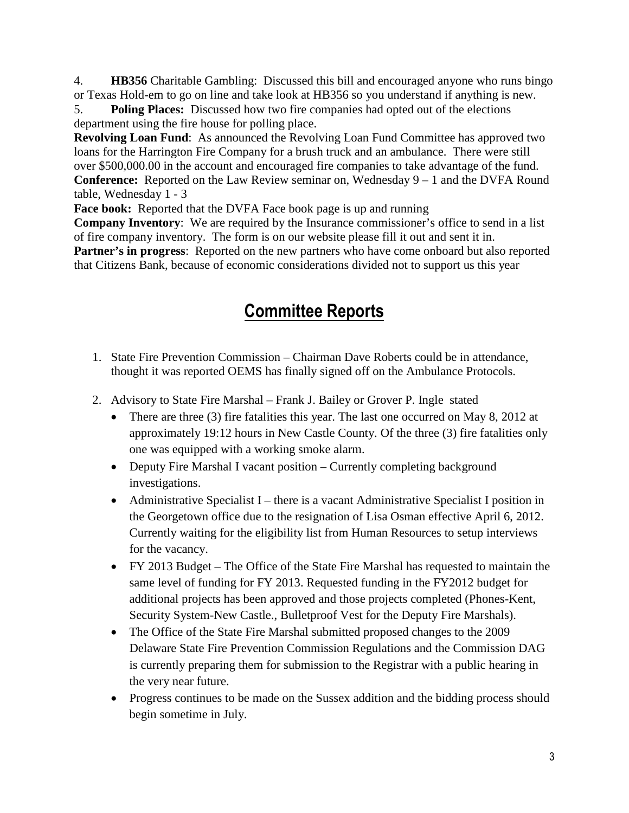4. **HB356** Charitable Gambling: Discussed this bill and encouraged anyone who runs bingo or Texas Hold-em to go on line and take look at HB356 so you understand if anything is new.

5. **Poling Places:** Discussed how two fire companies had opted out of the elections department using the fire house for polling place.

**Revolving Loan Fund:** As announced the Revolving Loan Fund Committee has approved two loans for the Harrington Fire Company for a brush truck and an ambulance. There were still over \$500,000.00 in the account and encouraged fire companies to take advantage of the fund. **Conference:** Reported on the Law Review seminar on, Wednesday 9 – 1 and the DVFA Round table, Wednesday 1 - 3

**Face book:** Reported that the DVFA Face book page is up and running

**Company Inventory**: We are required by the Insurance commissioner's office to send in a list of fire company inventory. The form is on our website please fill it out and sent it in. **Partner's in progress**: Reported on the new partners who have come onboard but also reported that Citizens Bank, because of economic considerations divided not to support us this year

# Committee Reports

- 1. State Fire Prevention Commission Chairman Dave Roberts could be in attendance, thought it was reported OEMS has finally signed off on the Ambulance Protocols.
- 2. Advisory to State Fire Marshal Frank J. Bailey or Grover P. Ingle stated
	- There are three (3) fire fatalities this year. The last one occurred on May 8, 2012 at approximately 19:12 hours in New Castle County. Of the three (3) fire fatalities only one was equipped with a working smoke alarm.
	- Deputy Fire Marshal I vacant position Currently completing background investigations.
	- Administrative Specialist I there is a vacant Administrative Specialist I position in the Georgetown office due to the resignation of Lisa Osman effective April 6, 2012. Currently waiting for the eligibility list from Human Resources to setup interviews for the vacancy.
	- FY 2013 Budget The Office of the State Fire Marshal has requested to maintain the same level of funding for FY 2013. Requested funding in the FY2012 budget for additional projects has been approved and those projects completed (Phones-Kent, Security System-New Castle., Bulletproof Vest for the Deputy Fire Marshals).
	- The Office of the State Fire Marshal submitted proposed changes to the 2009 Delaware State Fire Prevention Commission Regulations and the Commission DAG is currently preparing them for submission to the Registrar with a public hearing in the very near future.
	- Progress continues to be made on the Sussex addition and the bidding process should begin sometime in July.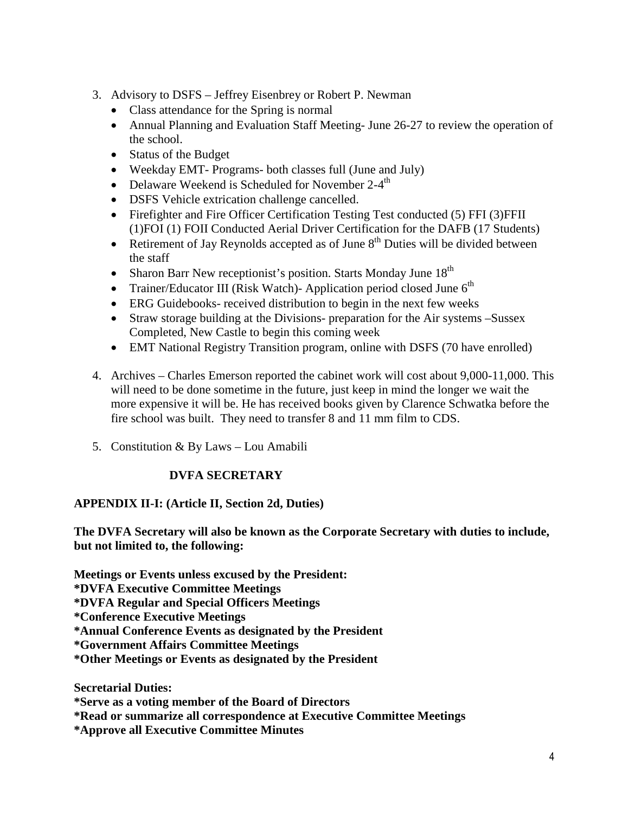- 3. Advisory to DSFS Jeffrey Eisenbrey or Robert P. Newman
	- Class attendance for the Spring is normal
	- Annual Planning and Evaluation Staff Meeting- June 26-27 to review the operation of the school.
	- Status of the Budget
	- Weekday EMT- Programs- both classes full (June and July)
	- Delaware Weekend is Scheduled for November  $2-4^{\text{th}}$
	- DSFS Vehicle extrication challenge cancelled.
	- Firefighter and Fire Officer Certification Testing Test conducted (5) FFI (3) FFII (1)FOI (1) FOII Conducted Aerial Driver Certification for the DAFB (17 Students)
	- Retirement of Jay Reynolds accepted as of June  $8<sup>th</sup>$  Duties will be divided between the staff
	- Sharon Barr New receptionist's position. Starts Monday June  $18<sup>th</sup>$
	- Trainer/Educator III (Risk Watch)- Application period closed June  $6<sup>th</sup>$
	- ERG Guidebooks- received distribution to begin in the next few weeks
	- Straw storage building at the Divisions- preparation for the Air systems –Sussex Completed, New Castle to begin this coming week
	- EMT National Registry Transition program, online with DSFS (70 have enrolled)
- 4. Archives Charles Emerson reported the cabinet work will cost about 9,000-11,000. This will need to be done sometime in the future, just keep in mind the longer we wait the more expensive it will be. He has received books given by Clarence Schwatka before the fire school was built. They need to transfer 8 and 11 mm film to CDS.
- 5. Constitution & By Laws Lou Amabili

#### **DVFA SECRETARY**

#### **APPENDIX II-I: (Article II, Section 2d, Duties)**

**The DVFA Secretary will also be known as the Corporate Secretary with duties to include, but not limited to, the following:** 

**Meetings or Events unless excused by the President:**

**\*DVFA Executive Committee Meetings** 

**\*DVFA Regular and Special Officers Meetings** 

**\*Conference Executive Meetings** 

**\*Annual Conference Events as designated by the President** 

**\*Government Affairs Committee Meetings** 

**\*Other Meetings or Events as designated by the President** 

**Secretarial Duties:** 

**\*Serve as a voting member of the Board of Directors**

**\*Read or summarize all correspondence at Executive Committee Meetings** 

**\*Approve all Executive Committee Minutes**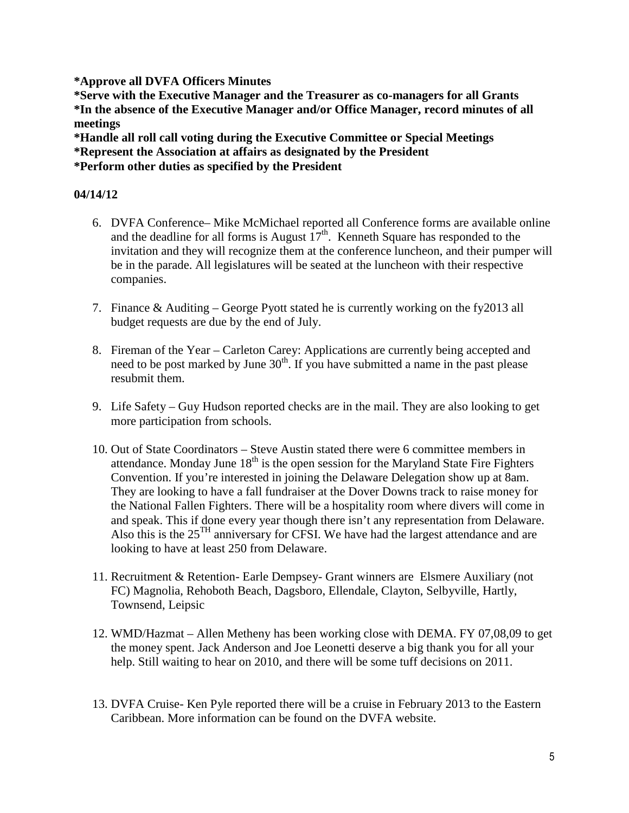**\*Approve all DVFA Officers Minutes** 

**\*Serve with the Executive Manager and the Treasurer as co-managers for all Grants \*In the absence of the Executive Manager and/or Office Manager, record minutes of all meetings** 

**\*Handle all roll call voting during the Executive Committee or Special Meetings** 

**\*Represent the Association at affairs as designated by the President** 

**\*Perform other duties as specified by the President**

#### **04/14/12**

- 6. DVFA Conference– Mike McMichael reported all Conference forms are available online and the deadline for all forms is August  $17<sup>th</sup>$ . Kenneth Square has responded to the invitation and they will recognize them at the conference luncheon, and their pumper will be in the parade. All legislatures will be seated at the luncheon with their respective companies.
- 7. Finance & Auditing George Pyott stated he is currently working on the fy2013 all budget requests are due by the end of July.
- 8. Fireman of the Year Carleton Carey: Applications are currently being accepted and need to be post marked by June  $30<sup>th</sup>$ . If you have submitted a name in the past please resubmit them.
- 9. Life Safety Guy Hudson reported checks are in the mail. They are also looking to get more participation from schools.
- 10. Out of State Coordinators Steve Austin stated there were 6 committee members in attendance. Monday June  $18<sup>th</sup>$  is the open session for the Maryland State Fire Fighters Convention. If you're interested in joining the Delaware Delegation show up at 8am. They are looking to have a fall fundraiser at the Dover Downs track to raise money for the National Fallen Fighters. There will be a hospitality room where divers will come in and speak. This if done every year though there isn't any representation from Delaware. Also this is the 25TH anniversary for CFSI. We have had the largest attendance and are looking to have at least 250 from Delaware.
- 11. Recruitment & Retention- Earle Dempsey- Grant winners are Elsmere Auxiliary (not FC) Magnolia, Rehoboth Beach, Dagsboro, Ellendale, Clayton, Selbyville, Hartly, Townsend, Leipsic
- 12. WMD/Hazmat Allen Metheny has been working close with DEMA. FY 07,08,09 to get the money spent. Jack Anderson and Joe Leonetti deserve a big thank you for all your help. Still waiting to hear on 2010, and there will be some tuff decisions on 2011.
- 13. DVFA Cruise- Ken Pyle reported there will be a cruise in February 2013 to the Eastern Caribbean. More information can be found on the DVFA website.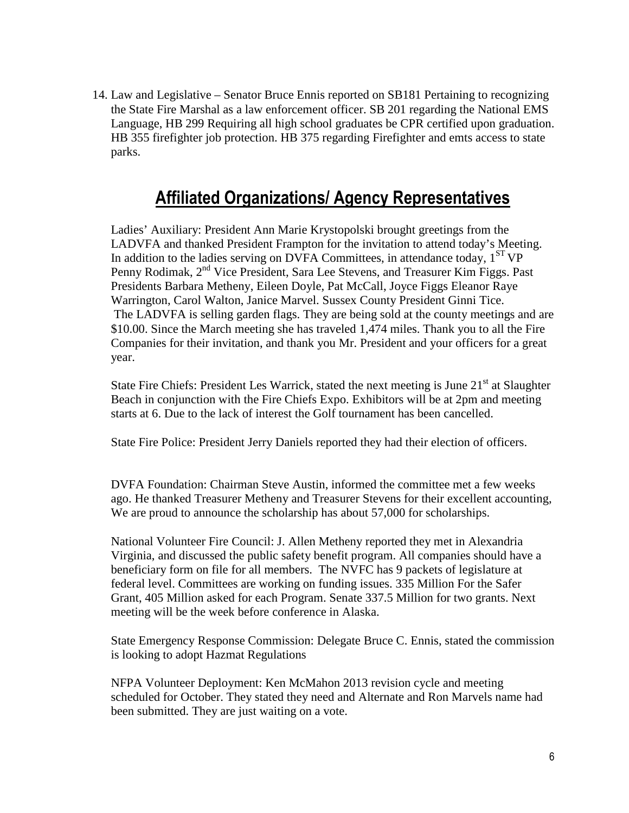14. Law and Legislative – Senator Bruce Ennis reported on SB181 Pertaining to recognizing the State Fire Marshal as a law enforcement officer. SB 201 regarding the National EMS Language, HB 299 Requiring all high school graduates be CPR certified upon graduation. HB 355 firefighter job protection. HB 375 regarding Firefighter and emts access to state parks.

### Affiliated Organizations/ Agency Representatives

Ladies' Auxiliary: President Ann Marie Krystopolski brought greetings from the LADVFA and thanked President Frampton for the invitation to attend today's Meeting. In addition to the ladies serving on DVFA Committees, in attendance today,  $1<sup>ST</sup>VP$ Penny Rodimak, 2<sup>nd</sup> Vice President, Sara Lee Stevens, and Treasurer Kim Figgs. Past Presidents Barbara Metheny, Eileen Doyle, Pat McCall, Joyce Figgs Eleanor Raye Warrington, Carol Walton, Janice Marvel. Sussex County President Ginni Tice. The LADVFA is selling garden flags. They are being sold at the county meetings and are \$10.00. Since the March meeting she has traveled 1,474 miles. Thank you to all the Fire Companies for their invitation, and thank you Mr. President and your officers for a great year.

State Fire Chiefs: President Les Warrick, stated the next meeting is June  $21<sup>st</sup>$  at Slaughter Beach in conjunction with the Fire Chiefs Expo. Exhibitors will be at 2pm and meeting starts at 6. Due to the lack of interest the Golf tournament has been cancelled.

State Fire Police: President Jerry Daniels reported they had their election of officers.

DVFA Foundation: Chairman Steve Austin, informed the committee met a few weeks ago. He thanked Treasurer Metheny and Treasurer Stevens for their excellent accounting, We are proud to announce the scholarship has about 57,000 for scholarships.

National Volunteer Fire Council: J. Allen Metheny reported they met in Alexandria Virginia, and discussed the public safety benefit program. All companies should have a beneficiary form on file for all members. The NVFC has 9 packets of legislature at federal level. Committees are working on funding issues. 335 Million For the Safer Grant, 405 Million asked for each Program. Senate 337.5 Million for two grants. Next meeting will be the week before conference in Alaska.

State Emergency Response Commission: Delegate Bruce C. Ennis, stated the commission is looking to adopt Hazmat Regulations

NFPA Volunteer Deployment: Ken McMahon 2013 revision cycle and meeting scheduled for October. They stated they need and Alternate and Ron Marvels name had been submitted. They are just waiting on a vote.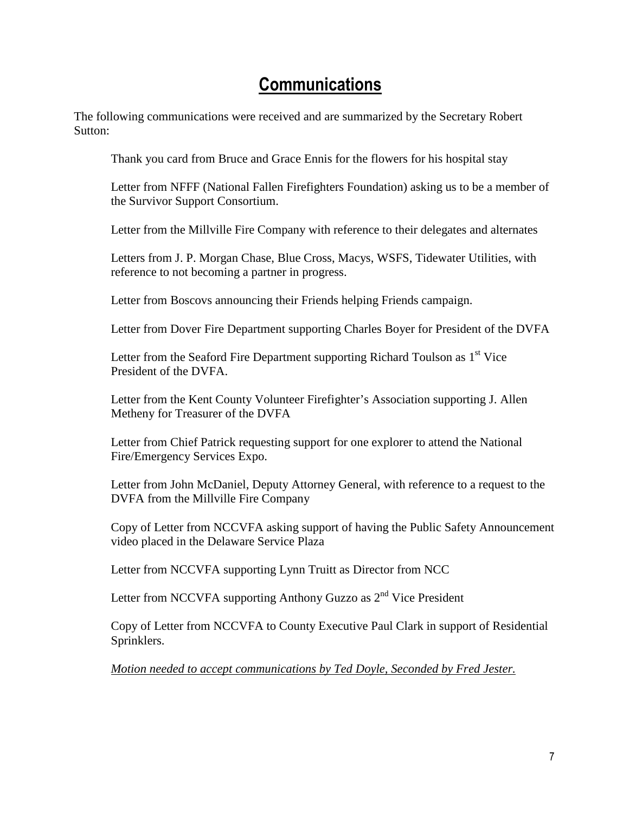### **Communications**

The following communications were received and are summarized by the Secretary Robert Sutton:

Thank you card from Bruce and Grace Ennis for the flowers for his hospital stay

Letter from NFFF (National Fallen Firefighters Foundation) asking us to be a member of the Survivor Support Consortium.

Letter from the Millville Fire Company with reference to their delegates and alternates

Letters from J. P. Morgan Chase, Blue Cross, Macys, WSFS, Tidewater Utilities, with reference to not becoming a partner in progress.

Letter from Boscovs announcing their Friends helping Friends campaign.

Letter from Dover Fire Department supporting Charles Boyer for President of the DVFA

Letter from the Seaford Fire Department supporting Richard Toulson as  $1<sup>st</sup>$  Vice President of the DVFA.

Letter from the Kent County Volunteer Firefighter's Association supporting J. Allen Metheny for Treasurer of the DVFA

Letter from Chief Patrick requesting support for one explorer to attend the National Fire/Emergency Services Expo.

Letter from John McDaniel, Deputy Attorney General, with reference to a request to the DVFA from the Millville Fire Company

Copy of Letter from NCCVFA asking support of having the Public Safety Announcement video placed in the Delaware Service Plaza

Letter from NCCVFA supporting Lynn Truitt as Director from NCC

Letter from NCCVFA supporting Anthony Guzzo as  $2<sup>nd</sup>$  Vice President

Copy of Letter from NCCVFA to County Executive Paul Clark in support of Residential Sprinklers.

*Motion needed to accept communications by Ted Doyle, Seconded by Fred Jester.*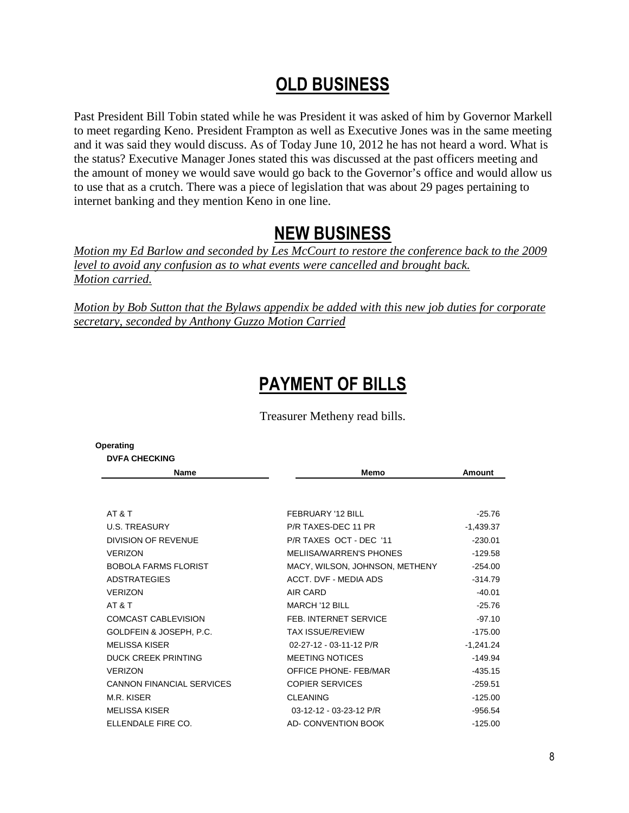### OLD BUSINESS

Past President Bill Tobin stated while he was President it was asked of him by Governor Markell to meet regarding Keno. President Frampton as well as Executive Jones was in the same meeting and it was said they would discuss. As of Today June 10, 2012 he has not heard a word. What is the status? Executive Manager Jones stated this was discussed at the past officers meeting and the amount of money we would save would go back to the Governor's office and would allow us to use that as a crutch. There was a piece of legislation that was about 29 pages pertaining to internet banking and they mention Keno in one line.

### NEW BUSINESS

*Motion my Ed Barlow and seconded by Les McCourt to restore the conference back to the 2009 level to avoid any confusion as to what events were cancelled and brought back. Motion carried.*

*Motion by Bob Sutton that the Bylaws appendix be added with this new job duties for corporate secretary, seconded by Anthony Guzzo Motion Carried*

## PAYMENT OF BILLS

Treasurer Metheny read bills.

| Operating                        |                                |               |
|----------------------------------|--------------------------------|---------------|
| <b>DVFA CHECKING</b>             |                                |               |
| <b>Name</b>                      | Memo                           | <b>Amount</b> |
|                                  |                                |               |
| AT & T                           | FEBRUARY '12 BILL              | $-25.76$      |
| <b>U.S. TREASURY</b>             | P/R TAXES-DEC 11 PR            | $-1,439.37$   |
| <b>DIVISION OF REVENUE</b>       | P/R TAXES OCT - DEC '11        | $-230.01$     |
| <b>VERIZON</b>                   | MELIISA/WARREN'S PHONES        | $-129.58$     |
| BOBOLA FARMS FLORIST             | MACY, WILSON, JOHNSON, METHENY | $-254.00$     |
| <b>ADSTRATEGIES</b>              | ACCT. DVF - MEDIA ADS          | $-314.79$     |
| <b>VERIZON</b>                   | AIR CARD                       | $-40.01$      |
| AT&T                             | <b>MARCH '12 BILL</b>          | $-25.76$      |
| <b>COMCAST CABLEVISION</b>       | FEB. INTERNET SERVICE          | $-97.10$      |
| GOLDFEIN & JOSEPH, P.C.          | <b>TAX ISSUE/REVIEW</b>        | $-175.00$     |
| <b>MELISSA KISER</b>             | 02-27-12 - 03-11-12 P/R        | $-1,241.24$   |
| <b>DUCK CREEK PRINTING</b>       | <b>MEETING NOTICES</b>         | $-149.94$     |
| <b>VERIZON</b>                   | OFFICE PHONE-FEB/MAR           | $-435.15$     |
| <b>CANNON FINANCIAL SERVICES</b> | <b>COPIER SERVICES</b>         | $-259.51$     |
| M.R. KISER                       | <b>CLEANING</b>                | $-125.00$     |
| <b>MELISSA KISER</b>             | 03-12-12 - 03-23-12 P/R        | $-956.54$     |
| ELLENDALE FIRE CO.               | <b>AD- CONVENTION BOOK</b>     | $-125.00$     |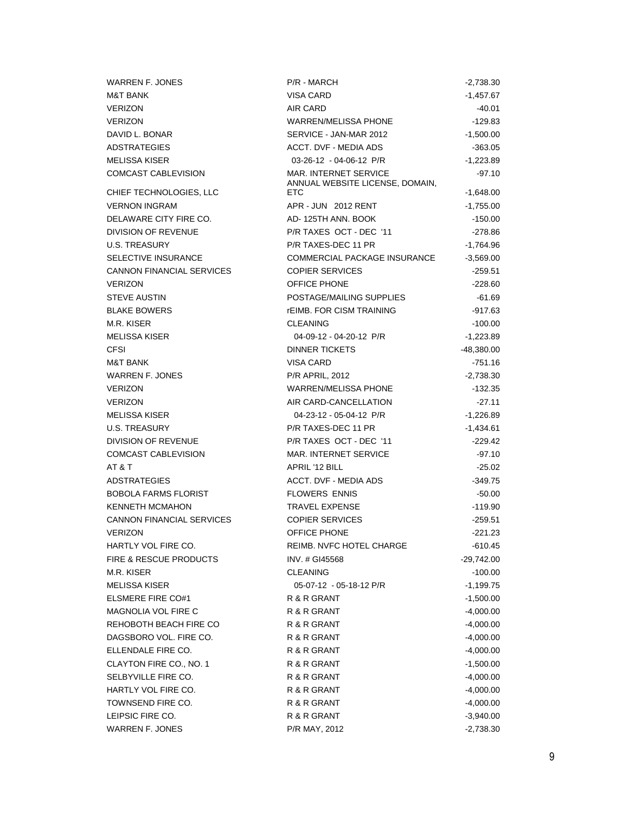| <b>WARREN F. JONES</b>            | P/R - MARCH                                                     | $-2,738.30$  |
|-----------------------------------|-----------------------------------------------------------------|--------------|
| <b>M&amp;T BANK</b>               | <b>VISA CARD</b>                                                | -1,457.67    |
| <b>VERIZON</b>                    | AIR CARD                                                        | -40.01       |
| <b>VERIZON</b>                    | <b>WARREN/MELISSA PHONE</b>                                     | $-129.83$    |
| DAVID L. BONAR                    | SERVICE - JAN-MAR 2012                                          | $-1,500.00$  |
| <b>ADSTRATEGIES</b>               | <b>ACCT. DVF - MEDIA ADS</b>                                    | $-363.05$    |
| <b>MELISSA KISER</b>              | 03-26-12 - 04-06-12 P/R                                         | -1,223.89    |
| COMCAST CABLEVISION               | <b>MAR. INTERNET SERVICE</b><br>ANNUAL WEBSITE LICENSE, DOMAIN, | $-97.10$     |
| CHIEF TECHNOLOGIES, LLC           | <b>ETC</b>                                                      | $-1,648.00$  |
| <b>VERNON INGRAM</b>              | APR - JUN 2012 RENT                                             | $-1,755.00$  |
| DELAWARE CITY FIRE CO.            | AD-125TH ANN. BOOK                                              | $-150.00$    |
| DIVISION OF REVENUE               | P/R TAXES OCT - DEC '11                                         | $-278.86$    |
| U.S. TREASURY                     | P/R TAXES-DEC 11 PR                                             | -1,764.96    |
| SELECTIVE INSURANCE               | COMMERCIAL PACKAGE INSURANCE                                    | $-3,569.00$  |
| <b>CANNON FINANCIAL SERVICES</b>  | <b>COPIER SERVICES</b>                                          | $-259.51$    |
| <b>VERIZON</b>                    | OFFICE PHONE                                                    | $-228.60$    |
| <b>STEVE AUSTIN</b>               | POSTAGE/MAILING SUPPLIES                                        | $-61.69$     |
| <b>BLAKE BOWERS</b>               | <b>rEIMB. FOR CISM TRAINING</b>                                 | $-917.63$    |
| M.R. KISER                        | <b>CLEANING</b>                                                 | $-100.00$    |
| <b>MELISSA KISER</b>              | 04-09-12 - 04-20-12 P/R                                         | $-1,223.89$  |
| <b>CFSI</b>                       | <b>DINNER TICKETS</b>                                           | -48,380.00   |
| <b>M&amp;T BANK</b>               | <b>VISA CARD</b>                                                | $-751.16$    |
| <b>WARREN F. JONES</b>            | <b>P/R APRIL, 2012</b>                                          | $-2,738.30$  |
| <b>VERIZON</b>                    | <b>WARREN/MELISSA PHONE</b>                                     | -132.35      |
| <b>VERIZON</b>                    | AIR CARD-CANCELLATION                                           | $-27.11$     |
| <b>MELISSA KISER</b>              | 04-23-12 - 05-04-12 P/R                                         | $-1,226.89$  |
| U.S. TREASURY                     | P/R TAXES-DEC 11 PR                                             | -1,434.61    |
| DIVISION OF REVENUE               | P/R TAXES OCT - DEC '11                                         | $-229.42$    |
| COMCAST CABLEVISION               | MAR. INTERNET SERVICE                                           | $-97.10$     |
| AT&T                              | APRIL '12 BILL                                                  | $-25.02$     |
| <b>ADSTRATEGIES</b>               | <b>ACCT. DVF - MEDIA ADS</b>                                    | $-349.75$    |
| <b>BOBOLA FARMS FLORIST</b>       | <b>FLOWERS ENNIS</b>                                            | $-50.00$     |
| <b>KENNETH MCMAHON</b>            | <b>TRAVEL EXPENSE</b>                                           | $-119.90$    |
| <b>CANNON FINANCIAL SERVICES</b>  | <b>COPIER SERVICES</b>                                          | $-259.51$    |
| <b>VERIZON</b>                    | <b>OFFICE PHONE</b>                                             | $-221.23$    |
| HARTLY VOL FIRE CO.               | REIMB. NVFC HOTEL CHARGE                                        | -610.45      |
| <b>FIRE &amp; RESCUE PRODUCTS</b> | INV. # GI45568                                                  | $-29,742.00$ |
| M.R. KISER                        | <b>CLEANING</b>                                                 | $-100.00$    |
| <b>MELISSA KISER</b>              | 05-07-12 - 05-18-12 P/R                                         | $-1,199.75$  |
| <b>ELSMERE FIRE CO#1</b>          | R & R GRANT                                                     | $-1,500.00$  |
| MAGNOLIA VOL FIRE C               | R & R GRANT                                                     | $-4,000.00$  |
| REHOBOTH BEACH FIRE CO            | R & R GRANT                                                     | $-4,000.00$  |
| DAGSBORO VOL. FIRE CO.            | R & R GRANT                                                     | $-4,000.00$  |
| ELLENDALE FIRE CO.                | R & R GRANT                                                     | $-4,000.00$  |
| CLAYTON FIRE CO., NO. 1           | R & R GRANT                                                     | $-1,500.00$  |
| SELBYVILLE FIRE CO.               | R & R GRANT                                                     | $-4,000.00$  |
| HARTLY VOL FIRE CO.               | R & R GRANT                                                     | $-4,000.00$  |
| TOWNSEND FIRE CO.                 | R & R GRANT                                                     | $-4,000.00$  |
| LEIPSIC FIRE CO.                  | R & R GRANT                                                     | $-3,940.00$  |
| <b>WARREN F. JONES</b>            | P/R MAY, 2012                                                   | $-2,738.30$  |
|                                   |                                                                 |              |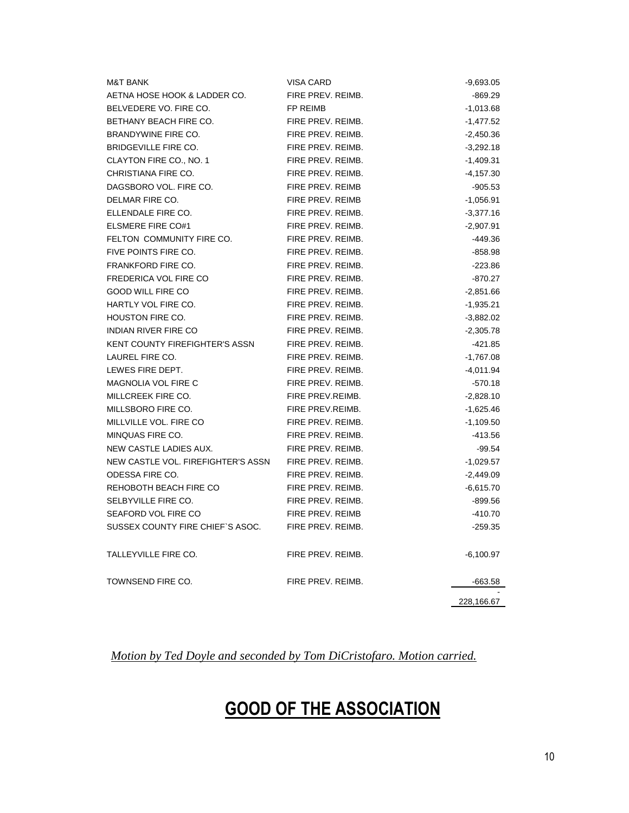| <b>M&amp;T BANK</b>                   | <b>VISA CARD</b>        | $-9,693.05$ |
|---------------------------------------|-------------------------|-------------|
| AETNA HOSE HOOK & LADDER CO.          | FIRE PREV. REIMB.       | -869.29     |
| BELVEDERE VO. FIRE CO.                | <b>FP REIMB</b>         | $-1,013.68$ |
| BETHANY BEACH FIRE CO.                | FIRE PREV. REIMB.       | -1,477.52   |
| BRANDYWINE FIRE CO.                   | FIRE PREV. REIMB.       | $-2,450.36$ |
| BRIDGEVILLE FIRE CO.                  | FIRE PREV. REIMB.       | $-3,292.18$ |
| CLAYTON FIRE CO., NO. 1               | FIRE PREV. REIMB.       | $-1,409.31$ |
| CHRISTIANA FIRE CO.                   | FIRE PREV. REIMB.       | $-4,157.30$ |
| DAGSBORO VOL. FIRE CO.                | <b>FIRE PREV. REIMB</b> | $-905.53$   |
| DELMAR FIRE CO.                       | FIRE PREV. REIMB        | $-1,056.91$ |
| ELLENDALE FIRE CO.                    | FIRE PREV. REIMB.       | $-3,377.16$ |
| <b>ELSMERE FIRE CO#1</b>              | FIRE PREV. REIMB.       | $-2,907.91$ |
| FELTON COMMUNITY FIRE CO.             | FIRE PREV. REIMB.       | $-449.36$   |
| FIVE POINTS FIRE CO.                  | FIRE PREV. REIMB.       | $-858.98$   |
| FRANKFORD FIRE CO.                    | FIRE PREV. REIMB.       | $-223.86$   |
| <b>FREDERICA VOL FIRE CO</b>          | FIRE PREV. REIMB.       | $-870.27$   |
| <b>GOOD WILL FIRE CO</b>              | FIRE PREV. REIMB.       | $-2,851.66$ |
| HARTLY VOL FIRE CO.                   | FIRE PREV. REIMB.       | $-1,935.21$ |
| HOUSTON FIRE CO.                      | FIRE PREV. REIMB.       | $-3,882.02$ |
| <b>INDIAN RIVER FIRE CO</b>           | FIRE PREV. REIMB.       | $-2,305.78$ |
| <b>KENT COUNTY FIREFIGHTER'S ASSN</b> | FIRE PREV. REIMB.       | -421.85     |
| LAUREL FIRE CO.                       | FIRE PREV. REIMB.       | $-1,767.08$ |
| LEWES FIRE DEPT.                      | FIRE PREV. REIMB.       | $-4,011.94$ |
| <b>MAGNOLIA VOL FIRE C</b>            | FIRE PREV. REIMB.       | $-570.18$   |
| MILLCREEK FIRE CO.                    | FIRE PREV.REIMB.        | $-2,828.10$ |
| MILLSBORO FIRE CO.                    | FIRE PREV.REIMB.        | $-1,625.46$ |
| MILLVILLE VOL. FIRE CO                | FIRE PREV. REIMB.       | $-1,109.50$ |
| MINQUAS FIRE CO.                      | FIRE PREV. REIMB.       | $-413.56$   |
| NEW CASTLE LADIES AUX.                | FIRE PREV. REIMB.       | $-99.54$    |
| NEW CASTLE VOL. FIREFIGHTER'S ASSN    | FIRE PREV. REIMB.       | $-1,029.57$ |
| ODESSA FIRE CO.                       | FIRE PREV. REIMB.       | $-2,449.09$ |
| REHOBOTH BEACH FIRE CO                | FIRE PREV. REIMB.       | $-6,615.70$ |
| SELBYVILLE FIRE CO.                   | FIRE PREV. REIMB.       | -899.56     |
| SEAFORD VOL FIRE CO                   | FIRE PREV. REIMB        | $-410.70$   |
| SUSSEX COUNTY FIRE CHIEF'S ASOC.      | FIRE PREV. REIMB.       | $-259.35$   |
| TALLEYVILLE FIRE CO.                  | FIRE PREV. REIMB.       | $-6,100.97$ |
| TOWNSEND FIRE CO.                     | FIRE PREV. REIMB.       | -663.58     |
|                                       |                         | 228,166.67  |

*Motion by Ted Doyle and seconded by Tom DiCristofaro. Motion carried.*

# GOOD OF THE ASSOCIATION